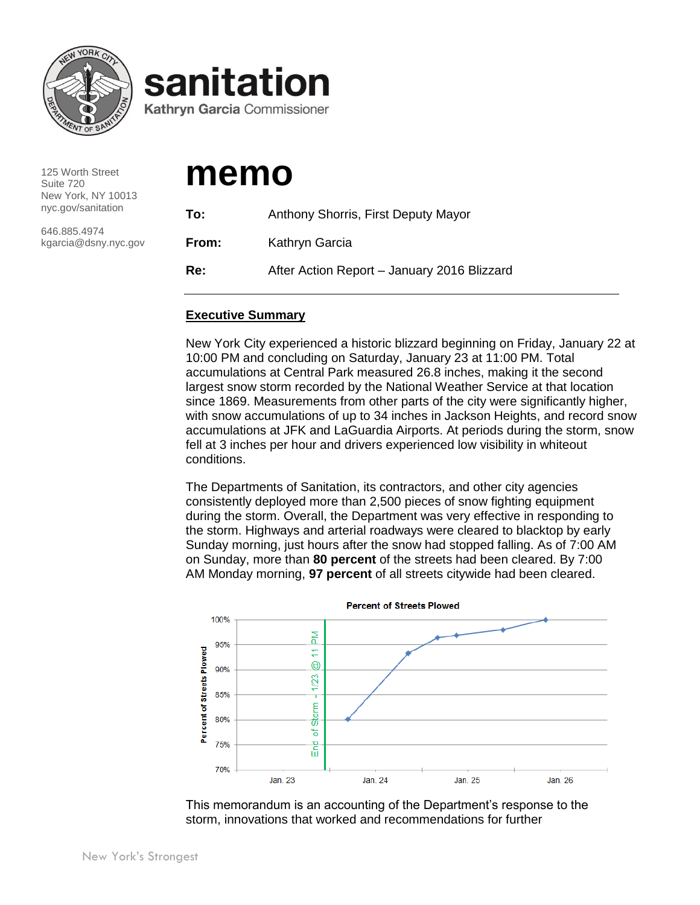

125 Worth Street Suite 720 New York, NY 10013 nyc.gov/sanitation

646.885.4974 kgarcia@dsny.nyc.gov

# **memo**

sanitation

**Kathryn Garcia Commissioner** 

| To:   | Anthony Shorris, First Deputy Mayor         |  |  |  |  |
|-------|---------------------------------------------|--|--|--|--|
| From: | Kathryn Garcia                              |  |  |  |  |
| Re:   | After Action Report - January 2016 Blizzard |  |  |  |  |

# **Executive Summary**

New York City experienced a historic blizzard beginning on Friday, January 22 at 10:00 PM and concluding on Saturday, January 23 at 11:00 PM. Total accumulations at Central Park measured 26.8 inches, making it the second largest snow storm recorded by the National Weather Service at that location since 1869. Measurements from other parts of the city were significantly higher, with snow accumulations of up to 34 inches in Jackson Heights, and record snow accumulations at JFK and LaGuardia Airports. At periods during the storm, snow fell at 3 inches per hour and drivers experienced low visibility in whiteout conditions.

The Departments of Sanitation, its contractors, and other city agencies consistently deployed more than 2,500 pieces of snow fighting equipment during the storm. Overall, the Department was very effective in responding to the storm. Highways and arterial roadways were cleared to blacktop by early Sunday morning, just hours after the snow had stopped falling. As of 7:00 AM on Sunday, more than **80 percent** of the streets had been cleared. By 7:00 AM Monday morning, **97 percent** of all streets citywide had been cleared.



This memorandum is an accounting of the Department's response to the storm, innovations that worked and recommendations for further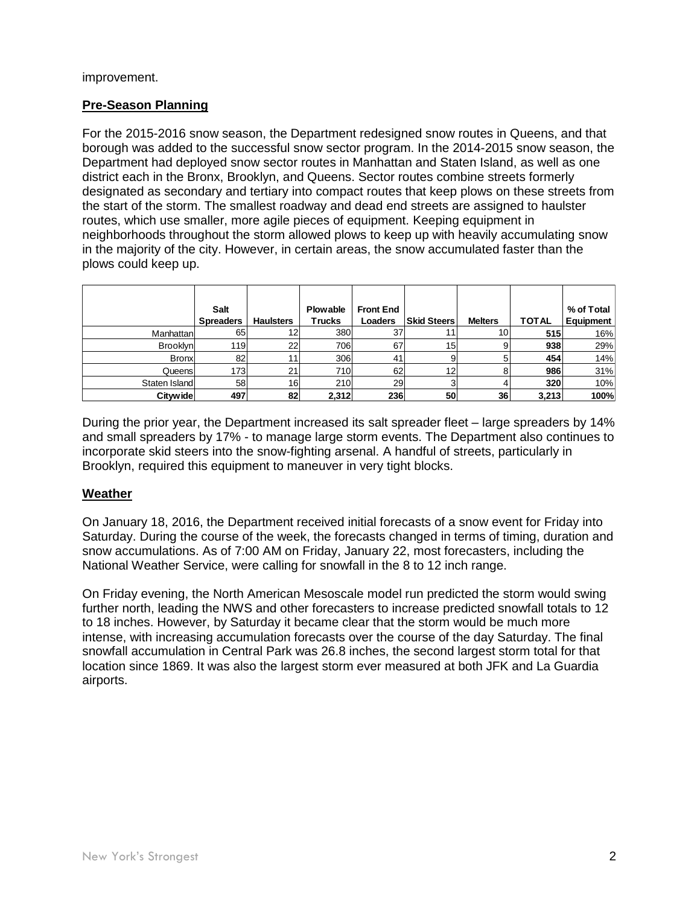#### improvement.

# **Pre-Season Planning**

For the 2015-2016 snow season, the Department redesigned snow routes in Queens, and that borough was added to the successful snow sector program. In the 2014-2015 snow season, the Department had deployed snow sector routes in Manhattan and Staten Island, as well as one district each in the Bronx, Brooklyn, and Queens. Sector routes combine streets formerly designated as secondary and tertiary into compact routes that keep plows on these streets from the start of the storm. The smallest roadway and dead end streets are assigned to haulster routes, which use smaller, more agile pieces of equipment. Keeping equipment in neighborhoods throughout the storm allowed plows to keep up with heavily accumulating snow in the majority of the city. However, in certain areas, the snow accumulated faster than the plows could keep up.

|                 | Salt<br><b>Spreaders</b> | <b>Haulsters</b> | <b>Plowable</b><br><b>Trucks</b> | <b>Front End</b><br>Loaders | <b>Skid Steers</b> | <b>Melters</b> | <b>TOTAL</b> | % of Total<br>Equipment |
|-----------------|--------------------------|------------------|----------------------------------|-----------------------------|--------------------|----------------|--------------|-------------------------|
| Manhattanl      | 65                       | 12               | 380                              | 37                          |                    | 10             | 515          | 16%                     |
| <b>Brooklyn</b> | 119                      | 22               | 706                              | 67                          | 15 <sub>1</sub>    |                | 938          | 29%                     |
| <b>Bronx</b>    | 82                       | 11               | 306                              | 41                          | 9                  |                | 454          | 14%                     |
| Queensl         | 173                      | 21               | 710l                             | 62                          | 12                 |                | 986          | 31%                     |
| Staten Island   | 58                       | 16               | 210                              | 29                          | 3                  |                | 320          | 10%                     |
| <b>Citywide</b> | 497                      | 82               | 2,312                            | 236                         | 50                 | 36             | 3,213        | 100%                    |

During the prior year, the Department increased its salt spreader fleet – large spreaders by 14% and small spreaders by 17% - to manage large storm events. The Department also continues to incorporate skid steers into the snow-fighting arsenal. A handful of streets, particularly in Brooklyn, required this equipment to maneuver in very tight blocks.

# **Weather**

On January 18, 2016, the Department received initial forecasts of a snow event for Friday into Saturday. During the course of the week, the forecasts changed in terms of timing, duration and snow accumulations. As of 7:00 AM on Friday, January 22, most forecasters, including the National Weather Service, were calling for snowfall in the 8 to 12 inch range.

On Friday evening, the North American Mesoscale model run predicted the storm would swing further north, leading the NWS and other forecasters to increase predicted snowfall totals to 12 to 18 inches. However, by Saturday it became clear that the storm would be much more intense, with increasing accumulation forecasts over the course of the day Saturday. The final snowfall accumulation in Central Park was 26.8 inches, the second largest storm total for that location since 1869. It was also the largest storm ever measured at both JFK and La Guardia airports.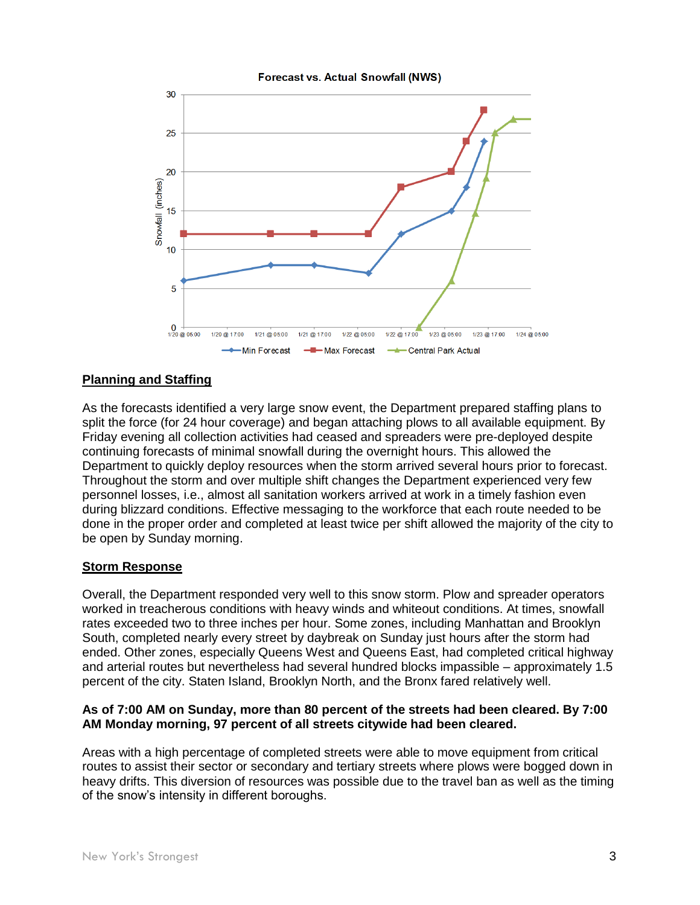

# **Planning and Staffing**

As the forecasts identified a very large snow event, the Department prepared staffing plans to split the force (for 24 hour coverage) and began attaching plows to all available equipment. By Friday evening all collection activities had ceased and spreaders were pre-deployed despite continuing forecasts of minimal snowfall during the overnight hours. This allowed the Department to quickly deploy resources when the storm arrived several hours prior to forecast. Throughout the storm and over multiple shift changes the Department experienced very few personnel losses, i.e., almost all sanitation workers arrived at work in a timely fashion even during blizzard conditions. Effective messaging to the workforce that each route needed to be done in the proper order and completed at least twice per shift allowed the majority of the city to be open by Sunday morning.

# **Storm Response**

Overall, the Department responded very well to this snow storm. Plow and spreader operators worked in treacherous conditions with heavy winds and whiteout conditions. At times, snowfall rates exceeded two to three inches per hour. Some zones, including Manhattan and Brooklyn South, completed nearly every street by daybreak on Sunday just hours after the storm had ended. Other zones, especially Queens West and Queens East, had completed critical highway and arterial routes but nevertheless had several hundred blocks impassible – approximately 1.5 percent of the city. Staten Island, Brooklyn North, and the Bronx fared relatively well.

#### **As of 7:00 AM on Sunday, more than 80 percent of the streets had been cleared. By 7:00 AM Monday morning, 97 percent of all streets citywide had been cleared.**

Areas with a high percentage of completed streets were able to move equipment from critical routes to assist their sector or secondary and tertiary streets where plows were bogged down in heavy drifts. This diversion of resources was possible due to the travel ban as well as the timing of the snow's intensity in different boroughs.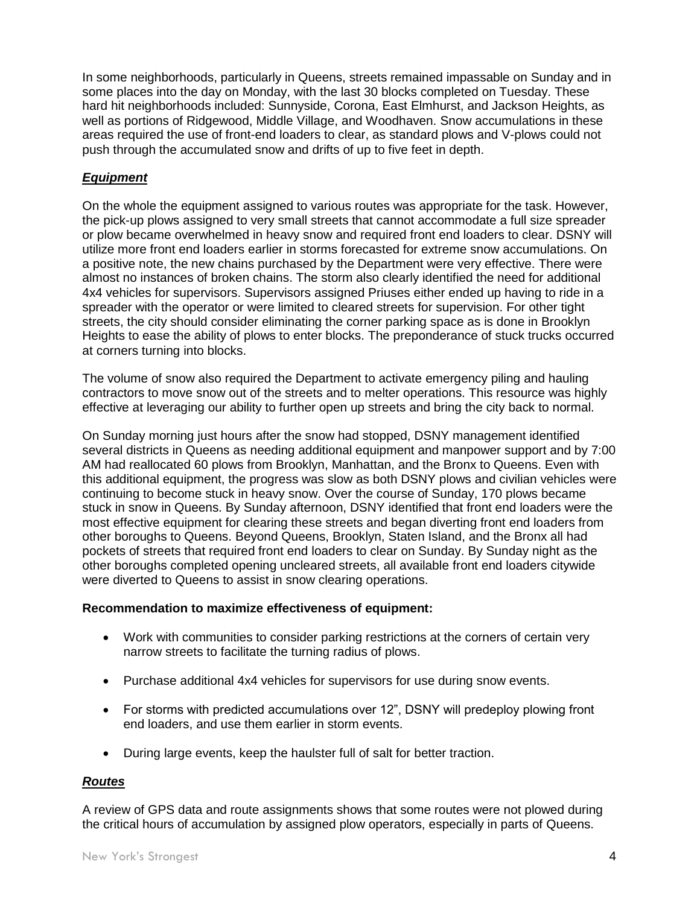In some neighborhoods, particularly in Queens, streets remained impassable on Sunday and in some places into the day on Monday, with the last 30 blocks completed on Tuesday. These hard hit neighborhoods included: Sunnyside, Corona, East Elmhurst, and Jackson Heights, as well as portions of Ridgewood, Middle Village, and Woodhaven. Snow accumulations in these areas required the use of front-end loaders to clear, as standard plows and V-plows could not push through the accumulated snow and drifts of up to five feet in depth.

# *Equipment*

On the whole the equipment assigned to various routes was appropriate for the task. However, the pick-up plows assigned to very small streets that cannot accommodate a full size spreader or plow became overwhelmed in heavy snow and required front end loaders to clear. DSNY will utilize more front end loaders earlier in storms forecasted for extreme snow accumulations. On a positive note, the new chains purchased by the Department were very effective. There were almost no instances of broken chains. The storm also clearly identified the need for additional 4x4 vehicles for supervisors. Supervisors assigned Priuses either ended up having to ride in a spreader with the operator or were limited to cleared streets for supervision. For other tight streets, the city should consider eliminating the corner parking space as is done in Brooklyn Heights to ease the ability of plows to enter blocks. The preponderance of stuck trucks occurred at corners turning into blocks.

The volume of snow also required the Department to activate emergency piling and hauling contractors to move snow out of the streets and to melter operations. This resource was highly effective at leveraging our ability to further open up streets and bring the city back to normal.

On Sunday morning just hours after the snow had stopped, DSNY management identified several districts in Queens as needing additional equipment and manpower support and by 7:00 AM had reallocated 60 plows from Brooklyn, Manhattan, and the Bronx to Queens. Even with this additional equipment, the progress was slow as both DSNY plows and civilian vehicles were continuing to become stuck in heavy snow. Over the course of Sunday, 170 plows became stuck in snow in Queens. By Sunday afternoon, DSNY identified that front end loaders were the most effective equipment for clearing these streets and began diverting front end loaders from other boroughs to Queens. Beyond Queens, Brooklyn, Staten Island, and the Bronx all had pockets of streets that required front end loaders to clear on Sunday. By Sunday night as the other boroughs completed opening uncleared streets, all available front end loaders citywide were diverted to Queens to assist in snow clearing operations.

#### **Recommendation to maximize effectiveness of equipment:**

- Work with communities to consider parking restrictions at the corners of certain very narrow streets to facilitate the turning radius of plows.
- Purchase additional 4x4 vehicles for supervisors for use during snow events.
- For storms with predicted accumulations over 12", DSNY will predeploy plowing front end loaders, and use them earlier in storm events.
- During large events, keep the haulster full of salt for better traction.

# *Routes*

A review of GPS data and route assignments shows that some routes were not plowed during the critical hours of accumulation by assigned plow operators, especially in parts of Queens.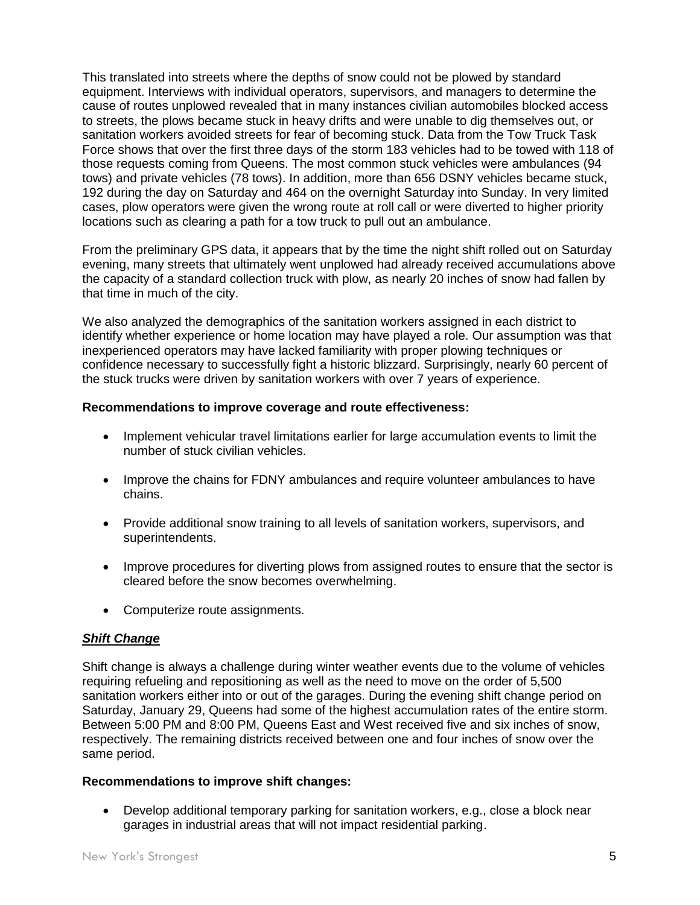This translated into streets where the depths of snow could not be plowed by standard equipment. Interviews with individual operators, supervisors, and managers to determine the cause of routes unplowed revealed that in many instances civilian automobiles blocked access to streets, the plows became stuck in heavy drifts and were unable to dig themselves out, or sanitation workers avoided streets for fear of becoming stuck. Data from the Tow Truck Task Force shows that over the first three days of the storm 183 vehicles had to be towed with 118 of those requests coming from Queens. The most common stuck vehicles were ambulances (94 tows) and private vehicles (78 tows). In addition, more than 656 DSNY vehicles became stuck, 192 during the day on Saturday and 464 on the overnight Saturday into Sunday. In very limited cases, plow operators were given the wrong route at roll call or were diverted to higher priority locations such as clearing a path for a tow truck to pull out an ambulance.

From the preliminary GPS data, it appears that by the time the night shift rolled out on Saturday evening, many streets that ultimately went unplowed had already received accumulations above the capacity of a standard collection truck with plow, as nearly 20 inches of snow had fallen by that time in much of the city.

We also analyzed the demographics of the sanitation workers assigned in each district to identify whether experience or home location may have played a role. Our assumption was that inexperienced operators may have lacked familiarity with proper plowing techniques or confidence necessary to successfully fight a historic blizzard. Surprisingly, nearly 60 percent of the stuck trucks were driven by sanitation workers with over 7 years of experience.

#### **Recommendations to improve coverage and route effectiveness:**

- Implement vehicular travel limitations earlier for large accumulation events to limit the number of stuck civilian vehicles.
- Improve the chains for FDNY ambulances and require volunteer ambulances to have chains.
- Provide additional snow training to all levels of sanitation workers, supervisors, and superintendents.
- Improve procedures for diverting plows from assigned routes to ensure that the sector is cleared before the snow becomes overwhelming.
- Computerize route assignments.

#### *Shift Change*

Shift change is always a challenge during winter weather events due to the volume of vehicles requiring refueling and repositioning as well as the need to move on the order of 5,500 sanitation workers either into or out of the garages. During the evening shift change period on Saturday, January 29, Queens had some of the highest accumulation rates of the entire storm. Between 5:00 PM and 8:00 PM, Queens East and West received five and six inches of snow, respectively. The remaining districts received between one and four inches of snow over the same period.

#### **Recommendations to improve shift changes:**

 Develop additional temporary parking for sanitation workers, e.g., close a block near garages in industrial areas that will not impact residential parking.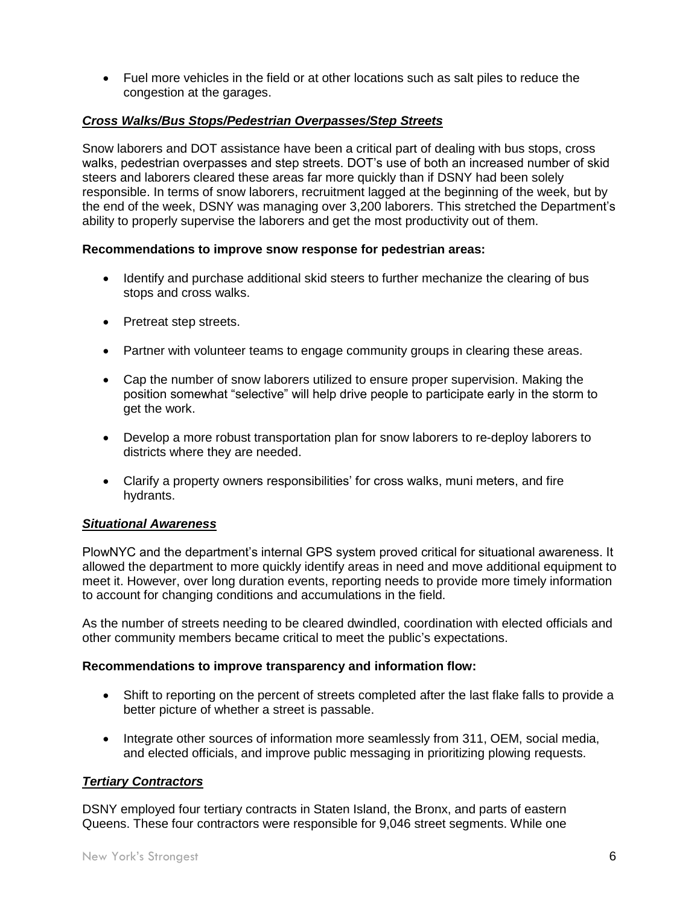Fuel more vehicles in the field or at other locations such as salt piles to reduce the congestion at the garages.

#### *Cross Walks/Bus Stops/Pedestrian Overpasses/Step Streets*

Snow laborers and DOT assistance have been a critical part of dealing with bus stops, cross walks, pedestrian overpasses and step streets. DOT's use of both an increased number of skid steers and laborers cleared these areas far more quickly than if DSNY had been solely responsible. In terms of snow laborers, recruitment lagged at the beginning of the week, but by the end of the week, DSNY was managing over 3,200 laborers. This stretched the Department's ability to properly supervise the laborers and get the most productivity out of them.

#### **Recommendations to improve snow response for pedestrian areas:**

- Identify and purchase additional skid steers to further mechanize the clearing of bus stops and cross walks.
- Pretreat step streets.
- Partner with volunteer teams to engage community groups in clearing these areas.
- Cap the number of snow laborers utilized to ensure proper supervision. Making the position somewhat "selective" will help drive people to participate early in the storm to get the work.
- Develop a more robust transportation plan for snow laborers to re-deploy laborers to districts where they are needed.
- Clarify a property owners responsibilities' for cross walks, muni meters, and fire hydrants.

#### *Situational Awareness*

PlowNYC and the department's internal GPS system proved critical for situational awareness. It allowed the department to more quickly identify areas in need and move additional equipment to meet it. However, over long duration events, reporting needs to provide more timely information to account for changing conditions and accumulations in the field.

As the number of streets needing to be cleared dwindled, coordination with elected officials and other community members became critical to meet the public's expectations.

#### **Recommendations to improve transparency and information flow:**

- Shift to reporting on the percent of streets completed after the last flake falls to provide a better picture of whether a street is passable.
- Integrate other sources of information more seamlessly from 311, OEM, social media, and elected officials, and improve public messaging in prioritizing plowing requests.

# *Tertiary Contractors*

DSNY employed four tertiary contracts in Staten Island, the Bronx, and parts of eastern Queens. These four contractors were responsible for 9,046 street segments. While one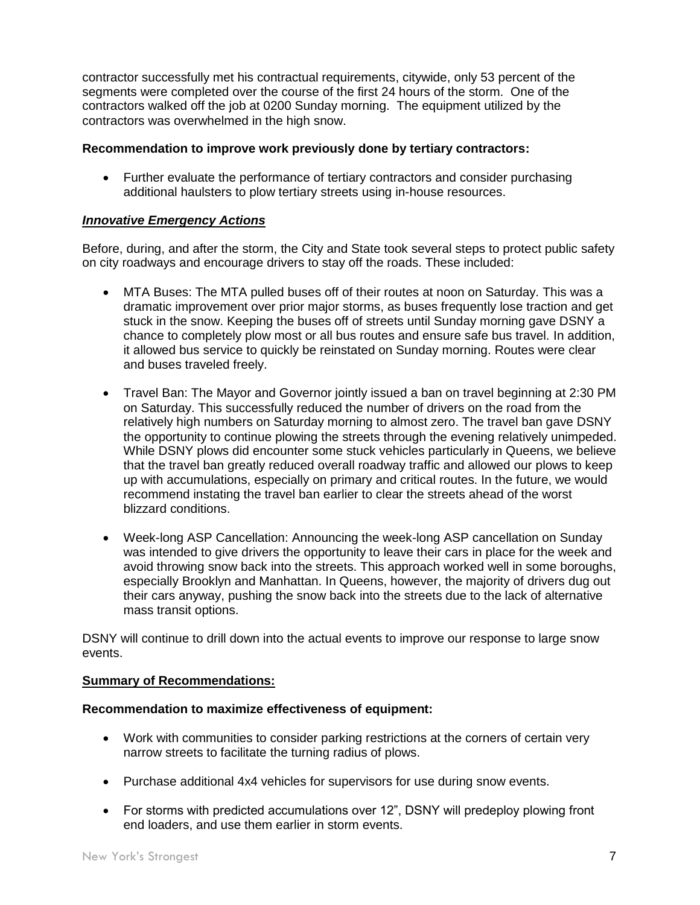contractor successfully met his contractual requirements, citywide, only 53 percent of the segments were completed over the course of the first 24 hours of the storm. One of the contractors walked off the job at 0200 Sunday morning. The equipment utilized by the contractors was overwhelmed in the high snow.

## **Recommendation to improve work previously done by tertiary contractors:**

 Further evaluate the performance of tertiary contractors and consider purchasing additional haulsters to plow tertiary streets using in-house resources.

## *Innovative Emergency Actions*

Before, during, and after the storm, the City and State took several steps to protect public safety on city roadways and encourage drivers to stay off the roads. These included:

- MTA Buses: The MTA pulled buses off of their routes at noon on Saturday. This was a dramatic improvement over prior major storms, as buses frequently lose traction and get stuck in the snow. Keeping the buses off of streets until Sunday morning gave DSNY a chance to completely plow most or all bus routes and ensure safe bus travel. In addition, it allowed bus service to quickly be reinstated on Sunday morning. Routes were clear and buses traveled freely.
- Travel Ban: The Mayor and Governor jointly issued a ban on travel beginning at 2:30 PM on Saturday. This successfully reduced the number of drivers on the road from the relatively high numbers on Saturday morning to almost zero. The travel ban gave DSNY the opportunity to continue plowing the streets through the evening relatively unimpeded. While DSNY plows did encounter some stuck vehicles particularly in Queens, we believe that the travel ban greatly reduced overall roadway traffic and allowed our plows to keep up with accumulations, especially on primary and critical routes. In the future, we would recommend instating the travel ban earlier to clear the streets ahead of the worst blizzard conditions.
- Week-long ASP Cancellation: Announcing the week-long ASP cancellation on Sunday was intended to give drivers the opportunity to leave their cars in place for the week and avoid throwing snow back into the streets. This approach worked well in some boroughs, especially Brooklyn and Manhattan. In Queens, however, the majority of drivers dug out their cars anyway, pushing the snow back into the streets due to the lack of alternative mass transit options.

DSNY will continue to drill down into the actual events to improve our response to large snow events.

#### **Summary of Recommendations:**

#### **Recommendation to maximize effectiveness of equipment:**

- Work with communities to consider parking restrictions at the corners of certain very narrow streets to facilitate the turning radius of plows.
- Purchase additional 4x4 vehicles for supervisors for use during snow events.
- For storms with predicted accumulations over 12", DSNY will predeploy plowing front end loaders, and use them earlier in storm events.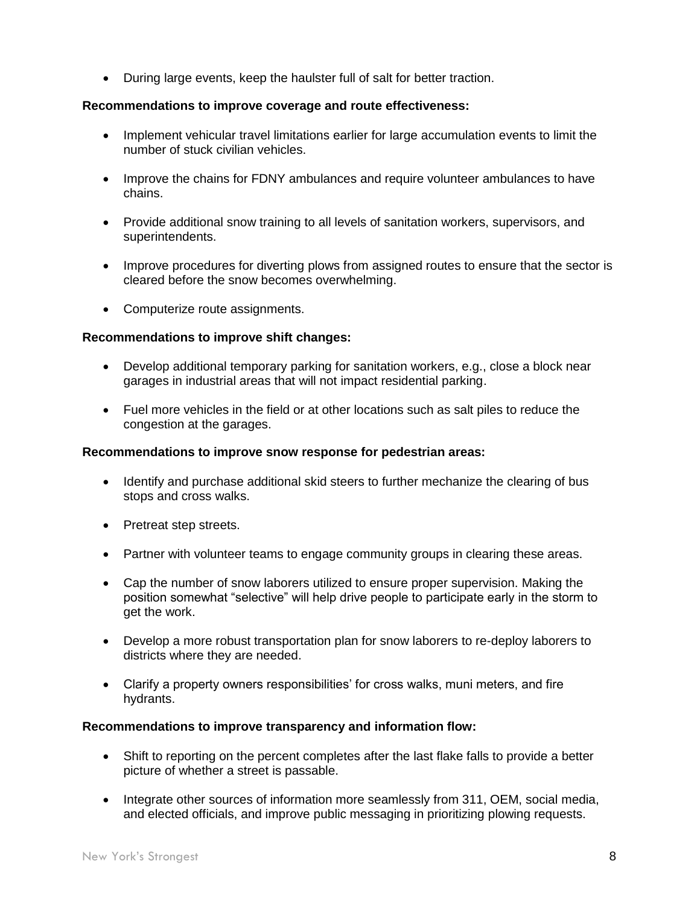During large events, keep the haulster full of salt for better traction.

# **Recommendations to improve coverage and route effectiveness:**

- Implement vehicular travel limitations earlier for large accumulation events to limit the number of stuck civilian vehicles.
- Improve the chains for FDNY ambulances and require volunteer ambulances to have chains.
- Provide additional snow training to all levels of sanitation workers, supervisors, and superintendents.
- Improve procedures for diverting plows from assigned routes to ensure that the sector is cleared before the snow becomes overwhelming.
- Computerize route assignments.

# **Recommendations to improve shift changes:**

- Develop additional temporary parking for sanitation workers, e.g., close a block near garages in industrial areas that will not impact residential parking.
- Fuel more vehicles in the field or at other locations such as salt piles to reduce the congestion at the garages.

# **Recommendations to improve snow response for pedestrian areas:**

- Identify and purchase additional skid steers to further mechanize the clearing of bus stops and cross walks.
- Pretreat step streets.
- Partner with volunteer teams to engage community groups in clearing these areas.
- Cap the number of snow laborers utilized to ensure proper supervision. Making the position somewhat "selective" will help drive people to participate early in the storm to get the work.
- Develop a more robust transportation plan for snow laborers to re-deploy laborers to districts where they are needed.
- Clarify a property owners responsibilities' for cross walks, muni meters, and fire hydrants.

# **Recommendations to improve transparency and information flow:**

- Shift to reporting on the percent completes after the last flake falls to provide a better picture of whether a street is passable.
- Integrate other sources of information more seamlessly from 311, OEM, social media, and elected officials, and improve public messaging in prioritizing plowing requests.